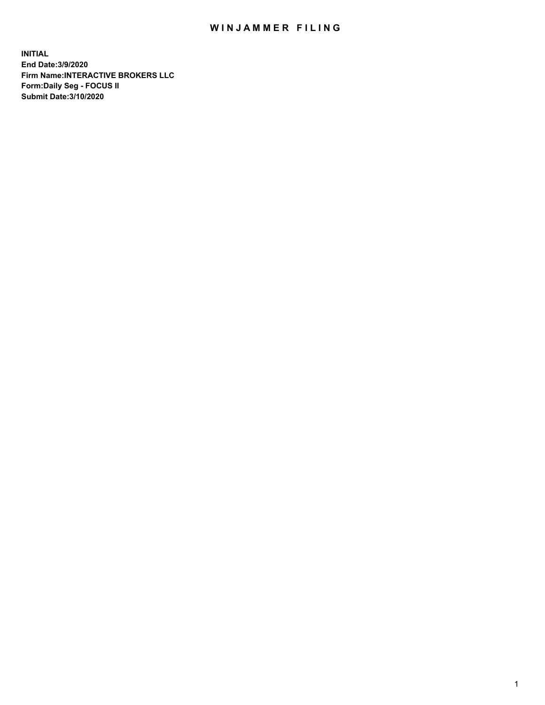## WIN JAMMER FILING

**INITIAL End Date:3/9/2020 Firm Name:INTERACTIVE BROKERS LLC Form:Daily Seg - FOCUS II Submit Date:3/10/2020**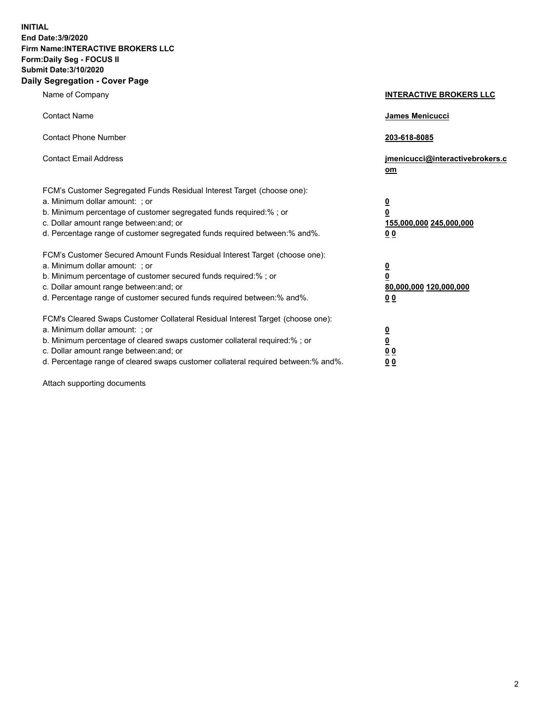**INITIAL End Date:3/9/2020 Firm Name:INTERACTIVE BROKERS LLC Form:Daily Seg - FOCUS II Submit Date:3/10/2020 Daily Segregation - Cover Page**

| Name of Company                                                                                                                                                                                                                                                                                                                | <b>INTERACTIVE BROKERS LLC</b>                                                      |
|--------------------------------------------------------------------------------------------------------------------------------------------------------------------------------------------------------------------------------------------------------------------------------------------------------------------------------|-------------------------------------------------------------------------------------|
| <b>Contact Name</b>                                                                                                                                                                                                                                                                                                            | <b>James Menicucci</b>                                                              |
| <b>Contact Phone Number</b>                                                                                                                                                                                                                                                                                                    | 203-618-8085                                                                        |
| <b>Contact Email Address</b>                                                                                                                                                                                                                                                                                                   | jmenicucci@interactivebrokers.c<br>om                                               |
| FCM's Customer Segregated Funds Residual Interest Target (choose one):<br>a. Minimum dollar amount: ; or<br>b. Minimum percentage of customer segregated funds required:% ; or<br>c. Dollar amount range between: and; or<br>d. Percentage range of customer segregated funds required between:% and%.                         | $\overline{\mathbf{0}}$<br>$\overline{\mathbf{0}}$<br>155,000,000 245,000,000<br>00 |
| FCM's Customer Secured Amount Funds Residual Interest Target (choose one):<br>a. Minimum dollar amount: ; or<br>b. Minimum percentage of customer secured funds required:% ; or<br>c. Dollar amount range between: and; or<br>d. Percentage range of customer secured funds required between:% and%.                           | $\overline{\mathbf{0}}$<br>$\overline{\mathbf{0}}$<br>80,000,000 120,000,000<br>00  |
| FCM's Cleared Swaps Customer Collateral Residual Interest Target (choose one):<br>a. Minimum dollar amount: ; or<br>b. Minimum percentage of cleared swaps customer collateral required:% ; or<br>c. Dollar amount range between: and; or<br>d. Percentage range of cleared swaps customer collateral required between:% and%. | $\overline{\mathbf{0}}$<br><u>0</u><br>0 <sub>0</sub><br>0 <sub>0</sub>             |

Attach supporting documents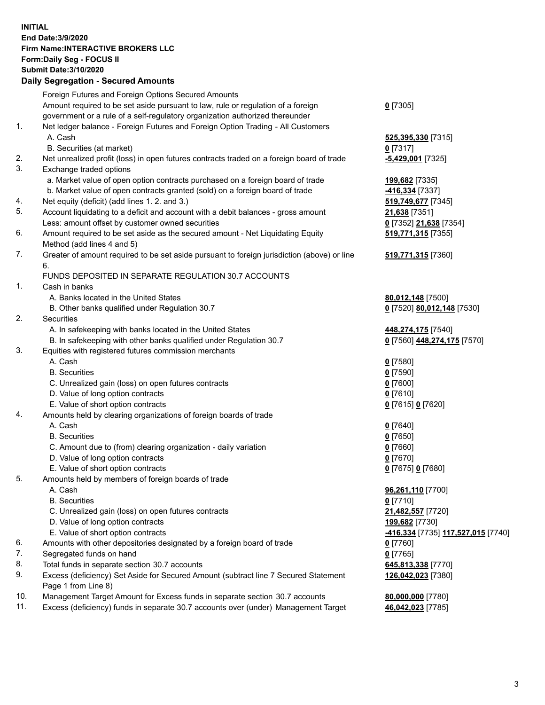**INITIAL End Date:3/9/2020 Firm Name:INTERACTIVE BROKERS LLC Form:Daily Seg - FOCUS II Submit Date:3/10/2020 Daily Segregation - Secured Amounts**

|     | Dany Ocgregation - Occarea Anioants                                                                        |                                                                |
|-----|------------------------------------------------------------------------------------------------------------|----------------------------------------------------------------|
|     | Foreign Futures and Foreign Options Secured Amounts                                                        |                                                                |
|     | Amount required to be set aside pursuant to law, rule or regulation of a foreign                           | $0$ [7305]                                                     |
|     | government or a rule of a self-regulatory organization authorized thereunder                               |                                                                |
| 1.  | Net ledger balance - Foreign Futures and Foreign Option Trading - All Customers                            |                                                                |
|     | A. Cash                                                                                                    | 525,395,330 [7315]                                             |
|     | B. Securities (at market)                                                                                  | $0$ [7317]                                                     |
| 2.  | Net unrealized profit (loss) in open futures contracts traded on a foreign board of trade                  | $-5,429,001$ [7325]                                            |
| 3.  | Exchange traded options                                                                                    |                                                                |
|     | a. Market value of open option contracts purchased on a foreign board of trade                             | 199,682 [7335]                                                 |
|     | b. Market value of open contracts granted (sold) on a foreign board of trade                               | -416,334 [7337]                                                |
| 4.  | Net equity (deficit) (add lines 1. 2. and 3.)                                                              | 519,749,677 [7345]                                             |
| 5.  | Account liquidating to a deficit and account with a debit balances - gross amount                          | 21,638 [7351]                                                  |
|     | Less: amount offset by customer owned securities                                                           | 0 [7352] 21,638 [7354]                                         |
| 6.  | Amount required to be set aside as the secured amount - Net Liquidating Equity                             | 519,771,315 [7355]                                             |
|     | Method (add lines 4 and 5)                                                                                 |                                                                |
| 7.  | Greater of amount required to be set aside pursuant to foreign jurisdiction (above) or line                | 519,771,315 [7360]                                             |
|     | 6.                                                                                                         |                                                                |
|     | FUNDS DEPOSITED IN SEPARATE REGULATION 30.7 ACCOUNTS                                                       |                                                                |
| 1.  | Cash in banks                                                                                              |                                                                |
|     | A. Banks located in the United States                                                                      | 80,012,148 [7500]                                              |
|     | B. Other banks qualified under Regulation 30.7                                                             | 0 [7520] 80,012,148 [7530]                                     |
| 2.  | Securities                                                                                                 |                                                                |
|     | A. In safekeeping with banks located in the United States                                                  | 448,274,175 [7540]                                             |
|     | B. In safekeeping with other banks qualified under Regulation 30.7                                         | 0 [7560] 448,274,175 [7570]                                    |
| 3.  | Equities with registered futures commission merchants                                                      |                                                                |
|     | A. Cash                                                                                                    | $0$ [7580]                                                     |
|     | <b>B.</b> Securities                                                                                       | $0$ [7590]                                                     |
|     | C. Unrealized gain (loss) on open futures contracts                                                        | $0$ [7600]                                                     |
|     | D. Value of long option contracts                                                                          | $0$ [7610]                                                     |
|     | E. Value of short option contracts                                                                         | 0 [7615] 0 [7620]                                              |
| 4.  | Amounts held by clearing organizations of foreign boards of trade                                          |                                                                |
|     | A. Cash                                                                                                    | $0$ [7640]                                                     |
|     | <b>B.</b> Securities                                                                                       | $0$ [7650]                                                     |
|     | C. Amount due to (from) clearing organization - daily variation                                            | $0$ [7660]                                                     |
|     | D. Value of long option contracts                                                                          | $0$ [7670]                                                     |
|     | E. Value of short option contracts                                                                         | 0 [7675] 0 [7680]                                              |
| 5.  | Amounts held by members of foreign boards of trade                                                         |                                                                |
|     | A. Cash                                                                                                    | 96,261,110 [7700]                                              |
|     | <b>B.</b> Securities                                                                                       | $0$ [7710]                                                     |
|     | C. Unrealized gain (loss) on open futures contracts                                                        | 21,482,557 [7720]                                              |
|     | D. Value of long option contracts                                                                          | 199,682 [7730]                                                 |
|     | E. Value of short option contracts                                                                         | <mark>-416,334</mark> [7735] <u>117,<b>527,015</b> [</u> 7740] |
| 6.  | Amounts with other depositories designated by a foreign board of trade                                     | $0$ [7760]                                                     |
| 7.  | Segregated funds on hand                                                                                   | $0$ [7765]                                                     |
| 8.  | Total funds in separate section 30.7 accounts                                                              | 645,813,338 [7770]                                             |
| 9.  | Excess (deficiency) Set Aside for Secured Amount (subtract line 7 Secured Statement<br>Page 1 from Line 8) | 126,042,023 [7380]                                             |
| 10. | Management Target Amount for Excess funds in separate section 30.7 accounts                                | 80,000,000 [7780]                                              |
| 11. | Excess (deficiency) funds in separate 30.7 accounts over (under) Management Target                         | 46,042,023 [7785]                                              |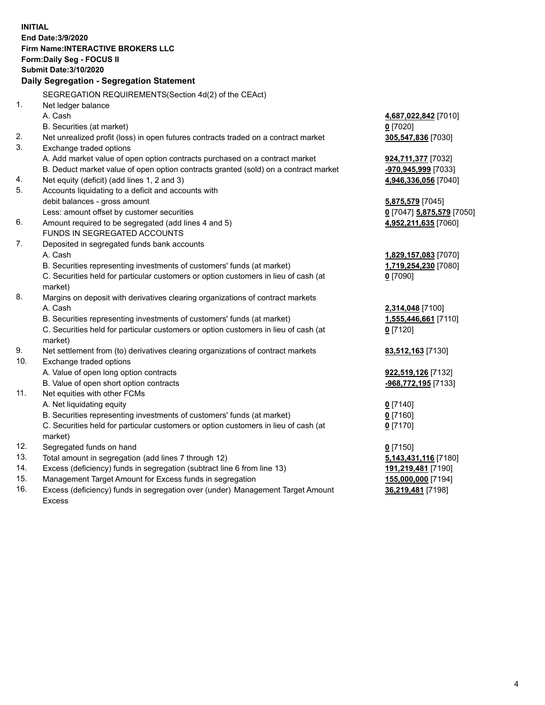**INITIAL End Date:3/9/2020 Firm Name:INTERACTIVE BROKERS LLC Form:Daily Seg - FOCUS II Submit Date:3/10/2020 Daily Segregation - Segregation Statement** SEGREGATION REQUIREMENTS(Section 4d(2) of the CEAct) 1. Net ledger balance A. Cash **4,687,022,842** [7010] B. Securities (at market) **0** [7020] 2. Net unrealized profit (loss) in open futures contracts traded on a contract market **305,547,836** [7030] 3. Exchange traded options A. Add market value of open option contracts purchased on a contract market **924,711,377** [7032] B. Deduct market value of open option contracts granted (sold) on a contract market **-970,945,999** [7033] 4. Net equity (deficit) (add lines 1, 2 and 3) **4,946,336,056** [7040] 5. Accounts liquidating to a deficit and accounts with debit balances - gross amount **5,875,579** [7045] Less: amount offset by customer securities **0** [7047] **5,875,579** [7050] 6. Amount required to be segregated (add lines 4 and 5) **4,952,211,635** [7060] FUNDS IN SEGREGATED ACCOUNTS 7. Deposited in segregated funds bank accounts A. Cash **1,829,157,083** [7070] B. Securities representing investments of customers' funds (at market) **1,719,254,230** [7080] C. Securities held for particular customers or option customers in lieu of cash (at market) **0** [7090] 8. Margins on deposit with derivatives clearing organizations of contract markets A. Cash **2,314,048** [7100] B. Securities representing investments of customers' funds (at market) **1,555,446,661** [7110] C. Securities held for particular customers or option customers in lieu of cash (at market) **0** [7120] 9. Net settlement from (to) derivatives clearing organizations of contract markets **83,512,163** [7130] 10. Exchange traded options A. Value of open long option contracts **922,519,126** [7132] B. Value of open short option contracts **-968,772,195** [7133] 11. Net equities with other FCMs A. Net liquidating equity **0** [7140] B. Securities representing investments of customers' funds (at market) **0** [7160] C. Securities held for particular customers or option customers in lieu of cash (at market) **0** [7170] 12. Segregated funds on hand **0** [7150] 13. Total amount in segregation (add lines 7 through 12) **5,143,431,116** [7180] 14. Excess (deficiency) funds in segregation (subtract line 6 from line 13) **191,219,481** [7190] 15. Management Target Amount for Excess funds in segregation **155,000,000** [7194] **36,219,481** [7198]

16. Excess (deficiency) funds in segregation over (under) Management Target Amount Excess